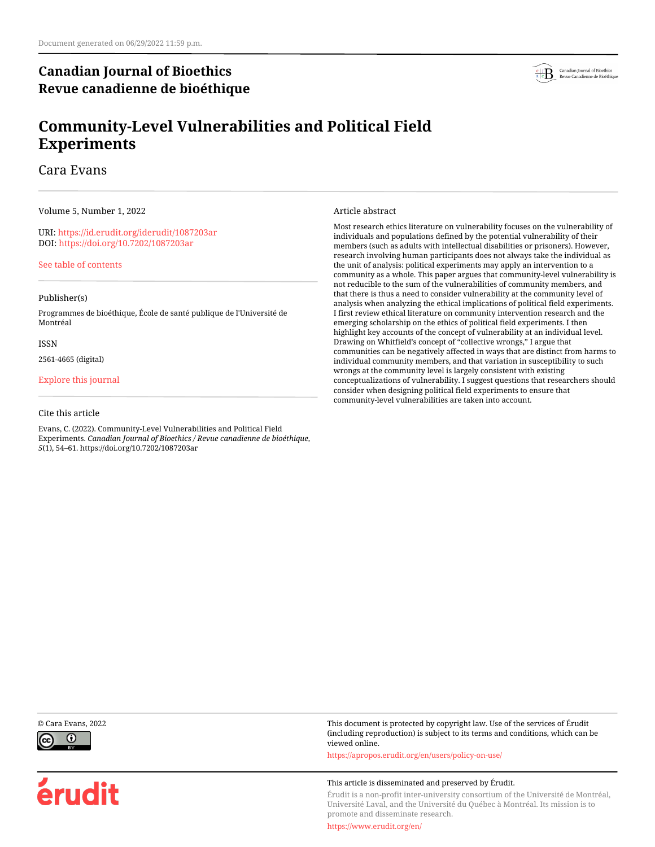# **Canadian Journal of Bioethics Revue canadienne de bioéthique**



# **Community-Level Vulnerabilities and Political Field Experiments**

Cara Evans

Volume 5, Number 1, 2022

URI:<https://id.erudit.org/iderudit/1087203ar> DOI:<https://doi.org/10.7202/1087203ar>

[See table of contents](https://www.erudit.org/en/journals/bioethics/2022-v5-n1-bioethics06848/)

#### Publisher(s)

Programmes de bioéthique, École de santé publique de l'Université de Montréal

#### ISSN

2561-4665 (digital)

#### [Explore this journal](https://www.erudit.org/en/journals/bioethics/)

#### Cite this article

Evans, C. (2022). Community-Level Vulnerabilities and Political Field Experiments. *Canadian Journal of Bioethics / Revue canadienne de bioéthique*, *5*(1), 54–61. https://doi.org/10.7202/1087203ar

Article abstract

Most research ethics literature on vulnerability focuses on the vulnerability of individuals and populations defined by the potential vulnerability of their members (such as adults with intellectual disabilities or prisoners). However, research involving human participants does not always take the individual as the unit of analysis: political experiments may apply an intervention to a community as a whole. This paper argues that community-level vulnerability is not reducible to the sum of the vulnerabilities of community members, and that there is thus a need to consider vulnerability at the community level of analysis when analyzing the ethical implications of political field experiments. I first review ethical literature on community intervention research and the emerging scholarship on the ethics of political field experiments. I then highlight key accounts of the concept of vulnerability at an individual level. Drawing on Whitfield's concept of "collective wrongs," I argue that communities can be negatively affected in ways that are distinct from harms to individual community members, and that variation in susceptibility to such wrongs at the community level is largely consistent with existing conceptualizations of vulnerability. I suggest questions that researchers should consider when designing political field experiments to ensure that community-level vulnerabilities are taken into account.



érudit

© Cara Evans, 2022 This document is protected by copyright law. Use of the services of Érudit (including reproduction) is subject to its terms and conditions, which can be viewed online.

<https://apropos.erudit.org/en/users/policy-on-use/>

#### This article is disseminated and preserved by Érudit.

Érudit is a non-profit inter-university consortium of the Université de Montréal, Université Laval, and the Université du Québec à Montréal. Its mission is to promote and disseminate research.

<https://www.erudit.org/en/>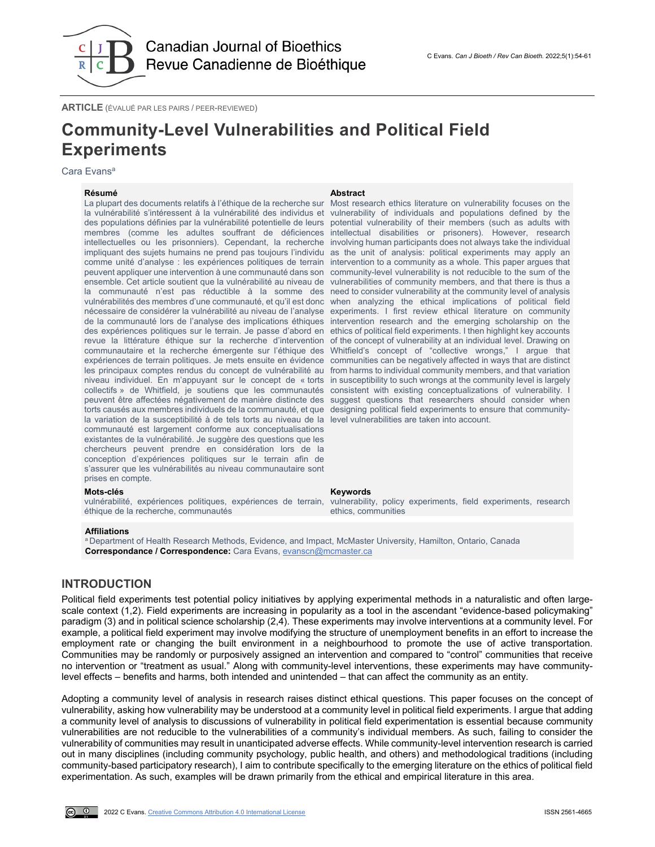

**ARTICLE** (ÉVALUÉ PAR LES PAIRS / PEER-REVIEWED)

# **Community-Level Vulnerabilities and Political Field Experiments**

Cara Evans<sup>a</sup>

#### **Résumé Abstract**

La plupart des documents relatifs à l'éthique de la recherche sur la vulnérabilité s'intéressent à la vulnérabilité des individus et vulnerability of individuals and populations defined by the des populations définies par la vulnérabilité potentielle de leurs potential vulnerability of their members (such as adults with membres (comme les adultes souffrant de déficiences intellectuelles ou les prisonniers). Cependant, la recherche impliquant des sujets humains ne prend pas toujours l'individu as the unit of analysis: political experiments may apply an comme unité d'analyse : les expériences politiques de terrain intervention to a community as a whole. This paper argues that peuvent appliquer une intervention à une communauté dans son community-level vulnerability is not reducible to the sum of the ensemble. Cet article soutient que la vulnérabilité au niveau de la communauté n'est pas réductible à la somme des need to consider vulnerability at the community level of analysis vulnérabilités des membres d'une communauté, et qu'il est donc when analyzing the ethical implications of political field nécessaire de considérer la vulnérabilité au niveau de l'analyse de la communauté lors de l'analyse des implications éthiques des expériences politiques sur le terrain. Je passe d'abord en ethics of political field experiments. I then highlight key accounts revue la littérature éthique sur la recherche d'intervention of the concept of vulnerability at an individual level. Drawing on communautaire et la recherche émergente sur l'éthique des expériences de terrain politiques. Je mets ensuite en évidence les principaux comptes rendus du concept de vulnérabilité au from harms to individual community members, and that variation niveau individuel. En m'appuyant sur le concept de « torts collectifs » de Whitfield, je soutiens que les communautés peuvent être affectées négativement de manière distincte des torts causés aux membres individuels de la communauté, et que designing political field experiments to ensure that communityla variation de la susceptibilité à de tels torts au niveau de la level vulnerabilities are taken into account. communauté est largement conforme aux conceptualisations existantes de la vulnérabilité. Je suggère des questions que les chercheurs peuvent prendre en considération lors de la conception d'expériences politiques sur le terrain afin de s'assurer que les vulnérabilités au niveau communautaire sont prises en compte.

éthique de la recherche, communautés

#### **Affiliations**

<sup>a</sup> Department of Health Research Methods, Evidence, and Impact, McMaster University, Hamilton, Ontario, Canada **Correspondance / Correspondence:** Cara Evans[, evanscn@mcmaster.ca](mailto:evanscn@mcmaster.ca)

#### **INTRODUCTION**

Political field experiments test potential policy initiatives by applying experimental methods in a naturalistic and often largescale context (1,2). Field experiments are increasing in popularity as a tool in the ascendant "evidence-based policymaking" paradigm (3) and in political science scholarship (2,4). These experiments may involve interventions at a community level. For example, a political field experiment may involve modifying the structure of unemployment benefits in an effort to increase the employment rate or changing the built environment in a neighbourhood to promote the use of active transportation. Communities may be randomly or purposively assigned an intervention and compared to "control" communities that receive no intervention or "treatment as usual." Along with community-level interventions, these experiments may have communitylevel effects – benefits and harms, both intended and unintended – that can affect the community as an entity.

Adopting a community level of analysis in research raises distinct ethical questions. This paper focuses on the concept of vulnerability, asking how vulnerability may be understood at a community level in political field experiments. I argue that adding a community level of analysis to discussions of vulnerability in political field experimentation is essential because community vulnerabilities are not reducible to the vulnerabilities of a community's individual members. As such, failing to consider the vulnerability of communities may result in unanticipated adverse effects. While community-level intervention research is carried out in many disciplines (including community psychology, public health, and others) and methodological traditions (including community-based participatory research), I aim to contribute specifically to the emerging literature on the ethics of political field experimentation. As such, examples will be drawn primarily from the ethical and empirical literature in this area.

Most research ethics literature on vulnerability focuses on the intellectual disabilities or prisoners). However, research involving human participants does not always take the individual vulnerabilities of community members, and that there is thus a experiments. I first review ethical literature on community intervention research and the emerging scholarship on the Whitfield's concept of "collective wrongs," I argue that communities can be negatively affected in ways that are distinct in susceptibility to such wrongs at the community level is largely consistent with existing conceptualizations of vulnerability. I suggest questions that researchers should consider when

#### **Mots-clés Keywords**

vulnérabilité, expériences politiques, expériences de terrain, vulnerability, policy experiments, field experiments, research ethics, communities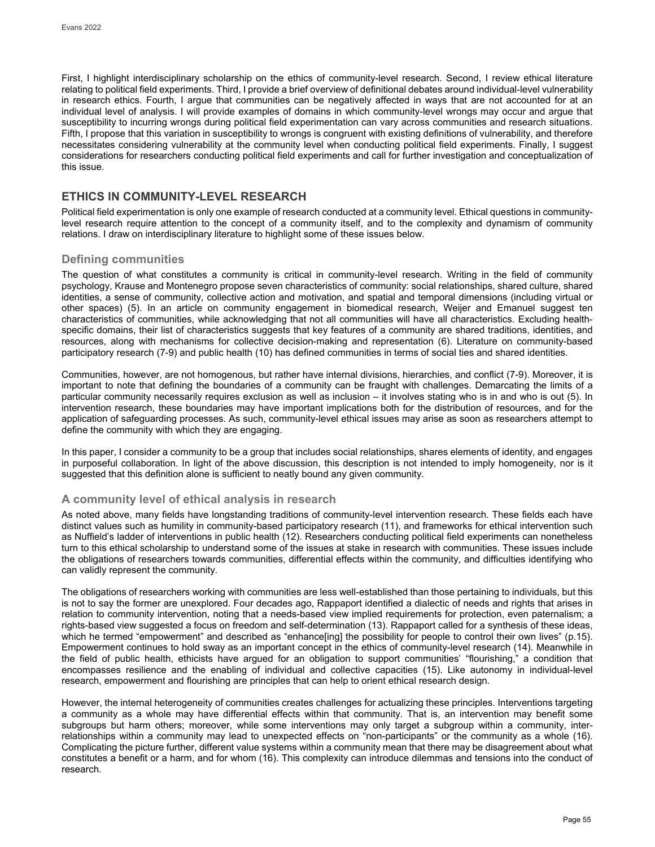First, I highlight interdisciplinary scholarship on the ethics of community-level research. Second, I review ethical literature relating to political field experiments. Third, I provide a brief overview of definitional debates around individual-level vulnerability in research ethics. Fourth, I argue that communities can be negatively affected in ways that are not accounted for at an individual level of analysis. I will provide examples of domains in which community-level wrongs may occur and argue that susceptibility to incurring wrongs during political field experimentation can vary across communities and research situations. Fifth, I propose that this variation in susceptibility to wrongs is congruent with existing definitions of vulnerability, and therefore necessitates considering vulnerability at the community level when conducting political field experiments. Finally, I suggest considerations for researchers conducting political field experiments and call for further investigation and conceptualization of this issue.

# **ETHICS IN COMMUNITY-LEVEL RESEARCH**

Political field experimentation is only one example of research conducted at a community level. Ethical questions in communitylevel research require attention to the concept of a community itself, and to the complexity and dynamism of community relations. I draw on interdisciplinary literature to highlight some of these issues below.

## **Defining communities**

The question of what constitutes a community is critical in community-level research. Writing in the field of community psychology, Krause and Montenegro propose seven characteristics of community: social relationships, shared culture, shared identities, a sense of community, collective action and motivation, and spatial and temporal dimensions (including virtual or other spaces) (5). In an article on community engagement in biomedical research, Weijer and Emanuel suggest ten characteristics of communities, while acknowledging that not all communities will have all characteristics. Excluding healthspecific domains, their list of characteristics suggests that key features of a community are shared traditions, identities, and resources, along with mechanisms for collective decision-making and representation (6). Literature on community-based participatory research (7-9) and public health (10) has defined communities in terms of social ties and shared identities.

Communities, however, are not homogenous, but rather have internal divisions, hierarchies, and conflict (7-9). Moreover, it is important to note that defining the boundaries of a community can be fraught with challenges. Demarcating the limits of a particular community necessarily requires exclusion as well as inclusion – it involves stating who is in and who is out (5). In intervention research, these boundaries may have important implications both for the distribution of resources, and for the application of safeguarding processes. As such, community-level ethical issues may arise as soon as researchers attempt to define the community with which they are engaging.

In this paper, I consider a community to be a group that includes social relationships, shares elements of identity, and engages in purposeful collaboration. In light of the above discussion, this description is not intended to imply homogeneity, nor is it suggested that this definition alone is sufficient to neatly bound any given community.

## **A community level of ethical analysis in research**

As noted above, many fields have longstanding traditions of community-level intervention research. These fields each have distinct values such as humility in community-based participatory research (11), and frameworks for ethical intervention such as Nuffield's ladder of interventions in public health (12). Researchers conducting political field experiments can nonetheless turn to this ethical scholarship to understand some of the issues at stake in research with communities. These issues include the obligations of researchers towards communities, differential effects within the community, and difficulties identifying who can validly represent the community.

The obligations of researchers working with communities are less well-established than those pertaining to individuals, but this is not to say the former are unexplored. Four decades ago, Rappaport identified a dialectic of needs and rights that arises in relation to community intervention, noting that a needs-based view implied requirements for protection, even paternalism; a rights-based view suggested a focus on freedom and self-determination (13). Rappaport called for a synthesis of these ideas, which he termed "empowerment" and described as "enhance[ing] the possibility for people to control their own lives" (p.15). Empowerment continues to hold sway as an important concept in the ethics of community-level research (14). Meanwhile in the field of public health, ethicists have argued for an obligation to support communities' "flourishing," a condition that encompasses resilience and the enabling of individual and collective capacities (15). Like autonomy in individual-level research, empowerment and flourishing are principles that can help to orient ethical research design.

However, the internal heterogeneity of communities creates challenges for actualizing these principles. Interventions targeting a community as a whole may have differential effects within that community. That is, an intervention may benefit some subgroups but harm others; moreover, while some interventions may only target a subgroup within a community, interrelationships within a community may lead to unexpected effects on "non-participants" or the community as a whole (16). Complicating the picture further, different value systems within a community mean that there may be disagreement about what constitutes a benefit or a harm, and for whom (16). This complexity can introduce dilemmas and tensions into the conduct of research.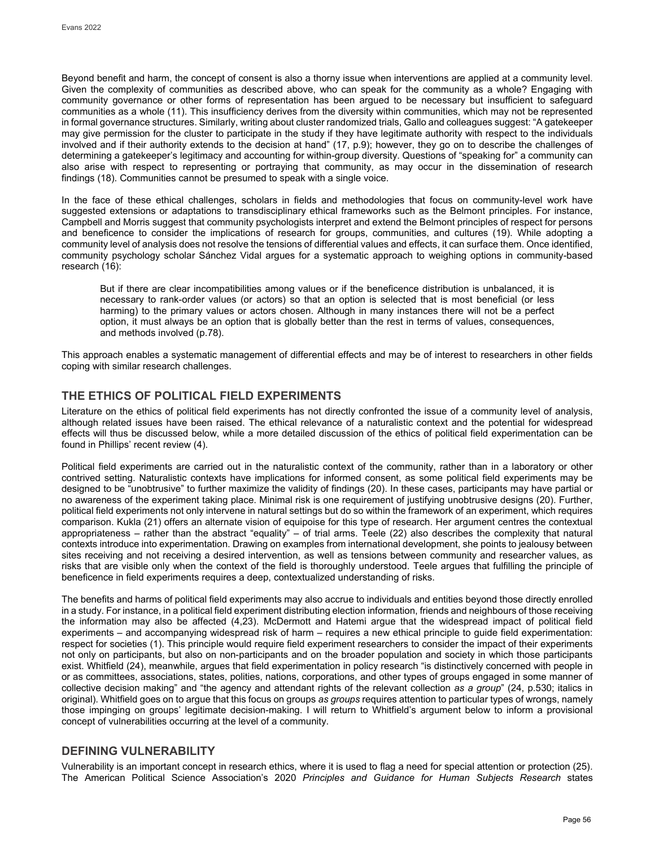Beyond benefit and harm, the concept of consent is also a thorny issue when interventions are applied at a community level. Given the complexity of communities as described above, who can speak for the community as a whole? Engaging with community governance or other forms of representation has been argued to be necessary but insufficient to safeguard communities as a whole (11). This insufficiency derives from the diversity within communities, which may not be represented in formal governance structures. Similarly, writing about cluster randomized trials, Gallo and colleagues suggest: "A gatekeeper may give permission for the cluster to participate in the study if they have legitimate authority with respect to the individuals involved and if their authority extends to the decision at hand" (17, p.9); however, they go on to describe the challenges of determining a gatekeeper's legitimacy and accounting for within-group diversity. Questions of "speaking for" a community can also arise with respect to representing or portraying that community, as may occur in the dissemination of research findings (18). Communities cannot be presumed to speak with a single voice.

In the face of these ethical challenges, scholars in fields and methodologies that focus on community-level work have suggested extensions or adaptations to transdisciplinary ethical frameworks such as the Belmont principles. For instance, Campbell and Morris suggest that community psychologists interpret and extend the Belmont principles of respect for persons and beneficence to consider the implications of research for groups, communities, and cultures (19). While adopting a community level of analysis does not resolve the tensions of differential values and effects, it can surface them. Once identified, community psychology scholar Sánchez Vidal argues for a systematic approach to weighing options in community-based research (16):

But if there are clear incompatibilities among values or if the beneficence distribution is unbalanced, it is necessary to rank-order values (or actors) so that an option is selected that is most beneficial (or less harming) to the primary values or actors chosen. Although in many instances there will not be a perfect option, it must always be an option that is globally better than the rest in terms of values, consequences, and methods involved (p.78).

This approach enables a systematic management of differential effects and may be of interest to researchers in other fields coping with similar research challenges.

# **THE ETHICS OF POLITICAL FIELD EXPERIMENTS**

Literature on the ethics of political field experiments has not directly confronted the issue of a community level of analysis, although related issues have been raised. The ethical relevance of a naturalistic context and the potential for widespread effects will thus be discussed below, while a more detailed discussion of the ethics of political field experimentation can be found in Phillips' recent review (4).

Political field experiments are carried out in the naturalistic context of the community, rather than in a laboratory or other contrived setting. Naturalistic contexts have implications for informed consent, as some political field experiments may be designed to be "unobtrusive" to further maximize the validity of findings (20). In these cases, participants may have partial or no awareness of the experiment taking place. Minimal risk is one requirement of justifying unobtrusive designs (20). Further, political field experiments not only intervene in natural settings but do so within the framework of an experiment, which requires comparison. Kukla (21) offers an alternate vision of equipoise for this type of research. Her argument centres the contextual appropriateness – rather than the abstract "equality" – of trial arms. Teele (22) also describes the complexity that natural contexts introduce into experimentation. Drawing on examples from international development, she points to jealousy between sites receiving and not receiving a desired intervention, as well as tensions between community and researcher values, as risks that are visible only when the context of the field is thoroughly understood. Teele argues that fulfilling the principle of beneficence in field experiments requires a deep, contextualized understanding of risks.

The benefits and harms of political field experiments may also accrue to individuals and entities beyond those directly enrolled in a study. For instance, in a political field experiment distributing election information, friends and neighbours of those receiving the information may also be affected (4,23). McDermott and Hatemi argue that the widespread impact of political field experiments – and accompanying widespread risk of harm – requires a new ethical principle to guide field experimentation: respect for societies (1). This principle would require field experiment researchers to consider the impact of their experiments not only on participants, but also on non-participants and on the broader population and society in which those participants exist. Whitfield (24), meanwhile, argues that field experimentation in policy research "is distinctively concerned with people in or as committees, associations, states, polities, nations, corporations, and other types of groups engaged in some manner of collective decision making" and "the agency and attendant rights of the relevant collection *as a group*" (24, p.530; italics in original). Whitfield goes on to argue that this focus on groups *as groups* requires attention to particular types of wrongs, namely those impinging on groups' legitimate decision-making. I will return to Whitfield's argument below to inform a provisional concept of vulnerabilities occurring at the level of a community.

## **DEFINING VULNERABILITY**

Vulnerability is an important concept in research ethics, where it is used to flag a need for special attention or protection (25). The American Political Science Association's 2020 *Principles and Guidance for Human Subjects Research* states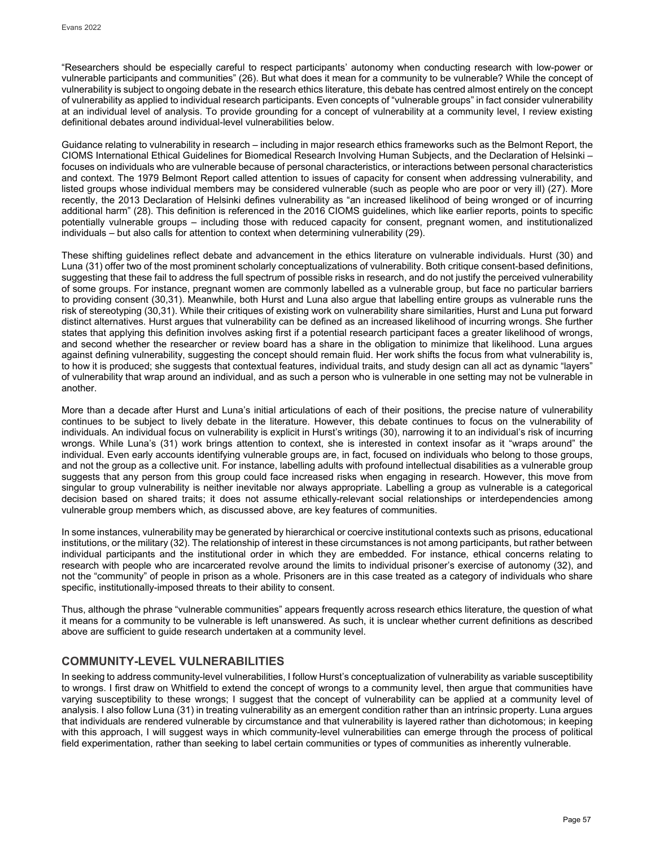"Researchers should be especially careful to respect participants' autonomy when conducting research with low-power or vulnerable participants and communities" (26). But what does it mean for a community to be vulnerable? While the concept of vulnerability is subject to ongoing debate in the research ethics literature, this debate has centred almost entirely on the concept of vulnerability as applied to individual research participants. Even concepts of "vulnerable groups" in fact consider vulnerability at an individual level of analysis. To provide grounding for a concept of vulnerability at a community level, I review existing definitional debates around individual-level vulnerabilities below.

Guidance relating to vulnerability in research – including in major research ethics frameworks such as the Belmont Report, the CIOMS International Ethical Guidelines for Biomedical Research Involving Human Subjects, and the Declaration of Helsinki – focuses on individuals who are vulnerable because of personal characteristics, or interactions between personal characteristics and context. The 1979 Belmont Report called attention to issues of capacity for consent when addressing vulnerability, and listed groups whose individual members may be considered vulnerable (such as people who are poor or very ill) (27). More recently, the 2013 Declaration of Helsinki defines vulnerability as "an increased likelihood of being wronged or of incurring additional harm" (28). This definition is referenced in the 2016 CIOMS guidelines, which like earlier reports, points to specific potentially vulnerable groups – including those with reduced capacity for consent, pregnant women, and institutionalized individuals – but also calls for attention to context when determining vulnerability (29).

These shifting guidelines reflect debate and advancement in the ethics literature on vulnerable individuals. Hurst (30) and Luna (31) offer two of the most prominent scholarly conceptualizations of vulnerability. Both critique consent-based definitions, suggesting that these fail to address the full spectrum of possible risks in research, and do not justify the perceived vulnerability of some groups. For instance, pregnant women are commonly labelled as a vulnerable group, but face no particular barriers to providing consent (30,31). Meanwhile, both Hurst and Luna also argue that labelling entire groups as vulnerable runs the risk of stereotyping (30,31). While their critiques of existing work on vulnerability share similarities, Hurst and Luna put forward distinct alternatives. Hurst argues that vulnerability can be defined as an increased likelihood of incurring wrongs. She further states that applying this definition involves asking first if a potential research participant faces a greater likelihood of wrongs, and second whether the researcher or review board has a share in the obligation to minimize that likelihood. Luna argues against defining vulnerability, suggesting the concept should remain fluid. Her work shifts the focus from what vulnerability is, to how it is produced; she suggests that contextual features, individual traits, and study design can all act as dynamic "layers" of vulnerability that wrap around an individual, and as such a person who is vulnerable in one setting may not be vulnerable in another.

More than a decade after Hurst and Luna's initial articulations of each of their positions, the precise nature of vulnerability continues to be subject to lively debate in the literature. However, this debate continues to focus on the vulnerability of individuals. An individual focus on vulnerability is explicit in Hurst's writings (30), narrowing it to an individual's risk of incurring wrongs. While Luna's (31) work brings attention to context, she is interested in context insofar as it "wraps around" the individual. Even early accounts identifying vulnerable groups are, in fact, focused on individuals who belong to those groups, and not the group as a collective unit. For instance, labelling adults with profound intellectual disabilities as a vulnerable group suggests that any person from this group could face increased risks when engaging in research. However, this move from singular to group vulnerability is neither inevitable nor always appropriate. Labelling a group as vulnerable is a categorical decision based on shared traits; it does not assume ethically-relevant social relationships or interdependencies among vulnerable group members which, as discussed above, are key features of communities.

In some instances, vulnerability may be generated by hierarchical or coercive institutional contexts such as prisons, educational institutions, or the military (32). The relationship of interest in these circumstances is not among participants, but rather between individual participants and the institutional order in which they are embedded. For instance, ethical concerns relating to research with people who are incarcerated revolve around the limits to individual prisoner's exercise of autonomy (32), and not the "community" of people in prison as a whole. Prisoners are in this case treated as a category of individuals who share specific, institutionally-imposed threats to their ability to consent.

Thus, although the phrase "vulnerable communities" appears frequently across research ethics literature, the question of what it means for a community to be vulnerable is left unanswered. As such, it is unclear whether current definitions as described above are sufficient to guide research undertaken at a community level.

# **COMMUNITY-LEVEL VULNERABILITIES**

In seeking to address community-level vulnerabilities, I follow Hurst's conceptualization of vulnerability as variable susceptibility to wrongs. I first draw on Whitfield to extend the concept of wrongs to a community level, then argue that communities have varying susceptibility to these wrongs; I suggest that the concept of vulnerability can be applied at a community level of analysis. I also follow Luna (31) in treating vulnerability as an emergent condition rather than an intrinsic property. Luna argues that individuals are rendered vulnerable by circumstance and that vulnerability is layered rather than dichotomous; in keeping with this approach, I will suggest ways in which community-level vulnerabilities can emerge through the process of political field experimentation, rather than seeking to label certain communities or types of communities as inherently vulnerable.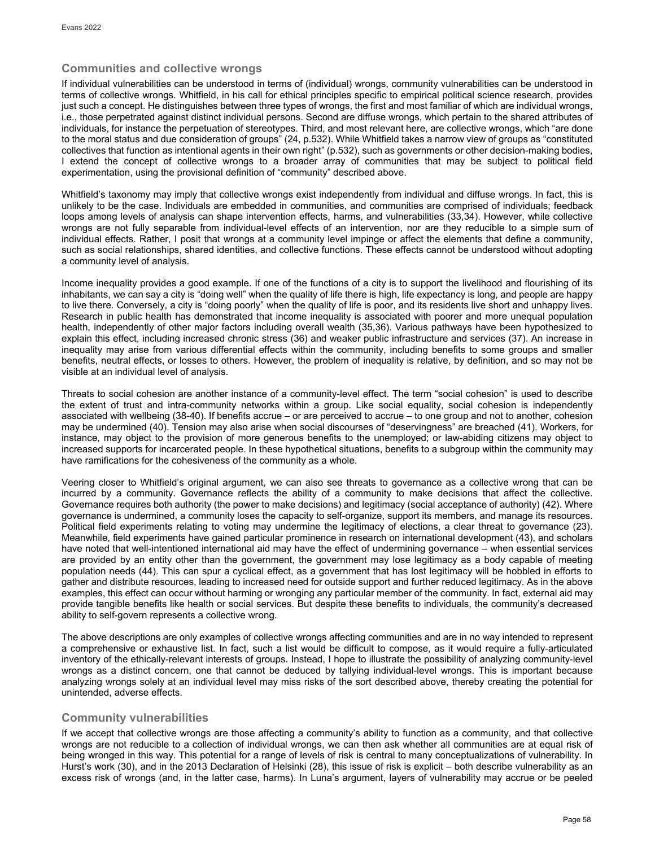## **Communities and collective wrongs**

If individual vulnerabilities can be understood in terms of (individual) wrongs, community vulnerabilities can be understood in terms of collective wrongs. Whitfield, in his call for ethical principles specific to empirical political science research, provides just such a concept. He distinguishes between three types of wrongs, the first and most familiar of which are individual wrongs, i.e., those perpetrated against distinct individual persons. Second are diffuse wrongs, which pertain to the shared attributes of individuals, for instance the perpetuation of stereotypes. Third, and most relevant here, are collective wrongs, which "are done to the moral status and due consideration of groups" (24, p.532). While Whitfield takes a narrow view of groups as "constituted collectives that function as intentional agents in their own right" (p.532), such as governments or other decision-making bodies, I extend the concept of collective wrongs to a broader array of communities that may be subject to political field experimentation, using the provisional definition of "community" described above.

Whitfield's taxonomy may imply that collective wrongs exist independently from individual and diffuse wrongs. In fact, this is unlikely to be the case. Individuals are embedded in communities, and communities are comprised of individuals; feedback loops among levels of analysis can shape intervention effects, harms, and vulnerabilities (33,34). However, while collective wrongs are not fully separable from individual-level effects of an intervention, nor are they reducible to a simple sum of individual effects. Rather, I posit that wrongs at a community level impinge or affect the elements that define a community, such as social relationships, shared identities, and collective functions. These effects cannot be understood without adopting a community level of analysis.

Income inequality provides a good example. If one of the functions of a city is to support the livelihood and flourishing of its inhabitants, we can say a city is "doing well" when the quality of life there is high, life expectancy is long, and people are happy to live there. Conversely, a city is "doing poorly" when the quality of life is poor, and its residents live short and unhappy lives. Research in public health has demonstrated that income inequality is associated with poorer and more unequal population health, independently of other major factors including overall wealth (35,36). Various pathways have been hypothesized to explain this effect, including increased chronic stress (36) and weaker public infrastructure and services (37). An increase in inequality may arise from various differential effects within the community, including benefits to some groups and smaller benefits, neutral effects, or losses to others. However, the problem of inequality is relative, by definition, and so may not be visible at an individual level of analysis.

Threats to social cohesion are another instance of a community-level effect. The term "social cohesion" is used to describe the extent of trust and intra-community networks within a group. Like social equality, social cohesion is independently associated with wellbeing (38-40). If benefits accrue – or are perceived to accrue – to one group and not to another, cohesion may be undermined (40). Tension may also arise when social discourses of "deservingness" are breached (41). Workers, for instance, may object to the provision of more generous benefits to the unemployed; or law-abiding citizens may object to increased supports for incarcerated people. In these hypothetical situations, benefits to a subgroup within the community may have ramifications for the cohesiveness of the community as a whole.

Veering closer to Whitfield's original argument, we can also see threats to governance as a collective wrong that can be incurred by a community. Governance reflects the ability of a community to make decisions that affect the collective. Governance requires both authority (the power to make decisions) and legitimacy (social acceptance of authority) (42). Where governance is undermined, a community loses the capacity to self-organize, support its members, and manage its resources. Political field experiments relating to voting may undermine the legitimacy of elections, a clear threat to governance (23). Meanwhile, field experiments have gained particular prominence in research on international development (43), and scholars have noted that well-intentioned international aid may have the effect of undermining governance – when essential services are provided by an entity other than the government, the government may lose legitimacy as a body capable of meeting population needs (44). This can spur a cyclical effect, as a government that has lost legitimacy will be hobbled in efforts to gather and distribute resources, leading to increased need for outside support and further reduced legitimacy. As in the above examples, this effect can occur without harming or wronging any particular member of the community. In fact, external aid may provide tangible benefits like health or social services. But despite these benefits to individuals, the community's decreased ability to self-govern represents a collective wrong.

The above descriptions are only examples of collective wrongs affecting communities and are in no way intended to represent a comprehensive or exhaustive list. In fact, such a list would be difficult to compose, as it would require a fully-articulated inventory of the ethically-relevant interests of groups. Instead, I hope to illustrate the possibility of analyzing community-level wrongs as a distinct concern, one that cannot be deduced by tallying individual-level wrongs. This is important because analyzing wrongs solely at an individual level may miss risks of the sort described above, thereby creating the potential for unintended, adverse effects.

# **Community vulnerabilities**

If we accept that collective wrongs are those affecting a community's ability to function as a community, and that collective wrongs are not reducible to a collection of individual wrongs, we can then ask whether all communities are at equal risk of being wronged in this way. This potential for a range of levels of risk is central to many conceptualizations of vulnerability. In Hurst's work (30), and in the 2013 Declaration of Helsinki (28), this issue of risk is explicit – both describe vulnerability as an excess risk of wrongs (and, in the latter case, harms). In Luna's argument, layers of vulnerability may accrue or be peeled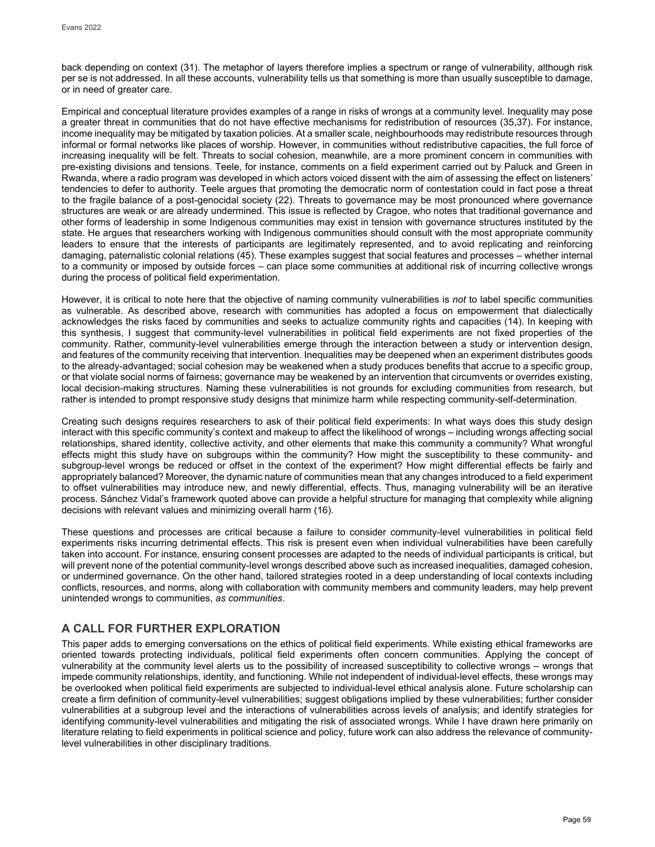back depending on context (31). The metaphor of layers therefore implies a spectrum or range of vulnerability, although risk per se is not addressed. In all these accounts, vulnerability tells us that something is more than usually susceptible to damage, or in need of greater care.

Empirical and conceptual literature provides examples of a range in risks of wrongs at a community level. Inequality may pose a greater threat in communities that do not have effective mechanisms for redistribution of resources (35,37). For instance, income inequality may be mitigated by taxation policies. At a smaller scale, neighbourhoods may redistribute resources through informal or formal networks like places of worship. However, in communities without redistributive capacities, the full force of increasing inequality will be felt. Threats to social cohesion, meanwhile, are a more prominent concern in communities with pre-existing divisions and tensions. Teele, for instance, comments on a field experiment carried out by Paluck and Green in Rwanda, where a radio program was developed in which actors voiced dissent with the aim of assessing the effect on listeners' tendencies to defer to authority. Teele argues that promoting the democratic norm of contestation could in fact pose a threat to the fragile balance of a post-genocidal society (22). Threats to governance may be most pronounced where governance structures are weak or are already undermined. This issue is reflected by Cragoe, who notes that traditional governance and other forms of leadership in some Indigenous communities may exist in tension with governance structures instituted by the state. He argues that researchers working with Indigenous communities should consult with the most appropriate community leaders to ensure that the interests of participants are legitimately represented, and to avoid replicating and reinforcing damaging, paternalistic colonial relations (45). These examples suggest that social features and processes – whether internal to a community or imposed by outside forces – can place some communities at additional risk of incurring collective wrongs during the process of political field experimentation.

However, it is critical to note here that the objective of naming community vulnerabilities is *not* to label specific communities as vulnerable. As described above, research with communities has adopted a focus on empowerment that dialectically acknowledges the risks faced by communities and seeks to actualize community rights and capacities (14). In keeping with this synthesis, I suggest that community-level vulnerabilities in political field experiments are not fixed properties of the community. Rather, community-level vulnerabilities emerge through the interaction between a study or intervention design, and features of the community receiving that intervention. Inequalities may be deepened when an experiment distributes goods to the already-advantaged; social cohesion may be weakened when a study produces benefits that accrue to a specific group, or that violate social norms of fairness; governance may be weakened by an intervention that circumvents or overrides existing, local decision-making structures. Naming these vulnerabilities is not grounds for excluding communities from research, but rather is intended to prompt responsive study designs that minimize harm while respecting community-self-determination.

Creating such designs requires researchers to ask of their political field experiments: In what ways does this study design interact with this specific community's context and makeup to affect the likelihood of wrongs – including wrongs affecting social relationships, shared identity, collective activity, and other elements that make this community a community? What wrongful effects might this study have on subgroups within the community? How might the susceptibility to these community- and subgroup-level wrongs be reduced or offset in the context of the experiment? How might differential effects be fairly and appropriately balanced? Moreover, the dynamic nature of communities mean that any changes introduced to a field experiment to offset vulnerabilities may introduce new, and newly differential, effects. Thus, managing vulnerability will be an iterative process. Sánchez Vidal's framework quoted above can provide a helpful structure for managing that complexity while aligning decisions with relevant values and minimizing overall harm (16).

These questions and processes are critical because a failure to consider community-level vulnerabilities in political field experiments risks incurring detrimental effects. This risk is present even when individual vulnerabilities have been carefully taken into account. For instance, ensuring consent processes are adapted to the needs of individual participants is critical, but will prevent none of the potential community-level wrongs described above such as increased inequalities, damaged cohesion, or undermined governance. On the other hand, tailored strategies rooted in a deep understanding of local contexts including conflicts, resources, and norms, along with collaboration with community members and community leaders, may help prevent unintended wrongs to communities, *as communities*.

# **A CALL FOR FURTHER EXPLORATION**

This paper adds to emerging conversations on the ethics of political field experiments. While existing ethical frameworks are oriented towards protecting individuals, political field experiments often concern communities. Applying the concept of vulnerability at the community level alerts us to the possibility of increased susceptibility to collective wrongs – wrongs that impede community relationships, identity, and functioning. While not independent of individual-level effects, these wrongs may be overlooked when political field experiments are subjected to individual-level ethical analysis alone. Future scholarship can create a firm definition of community-level vulnerabilities; suggest obligations implied by these vulnerabilities; further consider vulnerabilities at a subgroup level and the interactions of vulnerabilities across levels of analysis; and identify strategies for identifying community-level vulnerabilities and mitigating the risk of associated wrongs. While I have drawn here primarily on literature relating to field experiments in political science and policy, future work can also address the relevance of communitylevel vulnerabilities in other disciplinary traditions.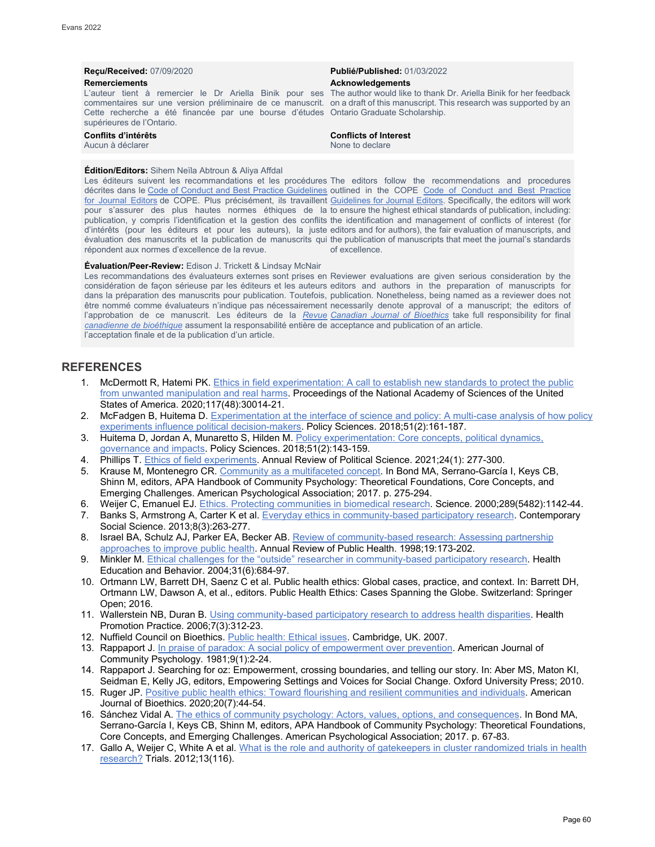# **Reçu/Received:** 07/09/2020 **Publié/Published:** 01/03/2022 **Remerciements Acknowledgements**

L'auteur tient à remercier le Dr Ariella Binik pour ses The author would like to thank Dr. Ariella Binik for her feedback commentaires sur une version préliminaire de ce manuscrit. on a draft of this manuscript. This research was supported by an Cette recherche a été financée par une bourse d'études Ontario Graduate Scholarship. supérieures de l'Ontario.

# **Conflits d'intérêts Conflicts of Interest**

Aucun à déclarer

#### **Édition/Editors:** Sihem Neïla Abtroun & Aliya Affdal

Les éditeurs suivent les recommandations et les procédures The editors follow the recommendations and procedures décrites dans le [Code of Conduct and Best Practice Guidelines](http://publicationethics.org/resources/code-conduct) outlined in the COPE Code of Conduct and Best Practice <u>[for Journal Editors](http://publicationethics.org/resources/code-conduct)</u> de COPE. Plus précisément, ils travaillent <u>Guidelines for Journal Editors</u>. Specifically, the editors will work pour s'assurer des plus hautes normes éthiques de la to ensure the highest ethical standards of publication, including: publication, y compris l'identification et la gestion des conflits the identification and management of conflicts of interest (for d'intérêts (pour les éditeurs et pour les auteurs), la juste editors and for authors), the fair evaluation of manuscripts, and évaluation des manuscrits et la publication de manuscrits qui the publication of manuscripts that meet the journal's standards répondent aux normes d'excellence de la revue.

#### **Évaluation/Peer-Review:** Edison J. Trickett & Lindsay McNair

Les recommandations des évaluateurs externes sont prises en Reviewer evaluations are given serious consideration by the considération de façon sérieuse par les éditeurs et les auteurs editors and authors in the preparation of manuscripts for dans la préparation des manuscrits pour publication. Toutefois, publication. Nonetheless, being named as a reviewer does not être nommé comme évaluateurs n'indique pas nécessairement necessarily denote approval of a manuscript; the editors of l'approbation de ce manuscrit. Les éditeurs de la <u>*[Revue](http://cjb-rcb.ca/) [Canadian Journal of Bioethics](http://cjb-rcb.ca/)*</u> take full responsibility for final *[canadienne de bioéthique](http://cjb-rcb.ca/)* assument la responsabilité entière de acceptance and publication of an article. l'acceptation finale et de la publication d'un article.

of excellence.

### **REFERENCES**

- 1. McDermott R, Hatemi PK. Ethics in field experimentation: A call to establish new standards to protect the public [from unwanted manipulation and real harms.](https://www.pnas.org/content/117/48/30014) Proceedings of the National Academy of Sciences of the United States of America. 2020;117(48):30014-21.
- 2. McFadgen B, Huitema D. [Experimentation at the interface of science and policy: A multi-case analysis of how policy](https://link.springer.com/article/10.1007/s11077-017-9276-2)  [experiments influence political decision-makers.](https://link.springer.com/article/10.1007/s11077-017-9276-2) Policy Sciences. 2018;51(2):161-187.
- 3. Huitema D, Jordan A, Munaretto S, Hilden M[. Policy experimentation: Core concepts, political dynamics,](https://link.springer.com/article/10.1007/s11077-018-9321-9)  [governance and impacts.](https://link.springer.com/article/10.1007/s11077-018-9321-9) Policy Sciences. 2018;51(2):143-159.
- 4. Phillips T. [Ethics of field experiments.](https://www.annualreviews.org/doi/abs/10.1146/annurev-polisci-041719-101956) Annual Review of Political Science. 2021;24(1): 277-300.
- 5. Krause M, Montenegro CR[. Community as a multifaceted concept.](https://psycnet.apa.org/record/2016-09482-013) In Bond MA, Serrano-García I, Keys CB, Shinn M, editors, APA Handbook of Community Psychology: Theoretical Foundations, Core Concepts, and Emerging Challenges. American Psychological Association; 2017. p. 275-294.
- 6. Weijer C, Emanuel EJ[. Ethics. Protecting communities in biomedical research.](https://pubmed.ncbi.nlm.nih.gov/10970227/) Science. 2000;289(5482):1142-44.
- 7. Banks S, Armstrong A, Carter K et al. [Everyday ethics in community-based participatory research.](https://www.tandfonline.com/doi/pdf/10.1080/21582041.2013.769618) Contemporary Social Science. 2013;8(3):263-277.
- 8. Israel BA, Schulz AJ, Parker EA, Becker AB[. Review of community-based research: Assessing partnership](https://pubmed.ncbi.nlm.nih.gov/9611617/)  [approaches to improve public health.](https://pubmed.ncbi.nlm.nih.gov/9611617/) Annual Review of Public Health. 1998;19:173-202.
- 9. Minkler M[. Ethical challenges for the "outside" researcher in community-based participatory research.](https://pubmed.ncbi.nlm.nih.gov/15539542/) Health Education and Behavior. 2004;31(6):684-97.
- 10. Ortmann LW, Barrett DH, Saenz C et al. Public health ethics: Global cases, practice, and context. In: Barrett DH, Ortmann LW, Dawson A, et al., editors. Public Health Ethics: Cases Spanning the Globe. Switzerland: Springer Open; 2016.
- 11. Wallerstein NB, Duran B. [Using community-based participatory research to address health disparities.](https://pubmed.ncbi.nlm.nih.gov/16760238/) Health Promotion Practice. 2006;7(3):312-23.
- 12. Nuffield Council on Bioethics. [Public health: Ethical issues.](https://www.nuffieldbioethics.org/publications/public-health) Cambridge, UK. 2007.
- 13. Rappaport J[. In praise of paradox: A social policy of empowerment over prevention.](https://pubmed.ncbi.nlm.nih.gov/7223726/) American Journal of Community Psychology. 1981;9(1):2-24.
- 14. Rappaport J. Searching for oz: Empowerment, crossing boundaries, and telling our story. In: Aber MS, Maton KI, Seidman E, Kelly JG, editors, Empowering Settings and Voices for Social Change. Oxford University Press; 2010.
- 15. Ruger JP. [Positive public health ethics: Toward flourishing and resilient communities and individuals.](https://pubmed.ncbi.nlm.nih.gov/32485131/) American Journal of Bioethics. 2020;20(7):44-54.
- 16. Sánchez Vidal A[. The ethics of community psychology: Actors, values, options, and consequences.](https://psycnet.apa.org/record/2016-09482-003) In Bond MA, Serrano-García I, Keys CB, Shinn M, editors, APA Handbook of Community Psychology: Theoretical Foundations, Core Concepts, and Emerging Challenges. American Psychological Association; 2017. p. 67-83.
- 17. Gallo A, Weijer C, White A et al. What is the role and authority of gatekeepers in cluster randomized trials in health [research?](https://trialsjournal.biomedcentral.com/articles/10.1186/1745-6215-13-116) Trials. 2012;13(116).